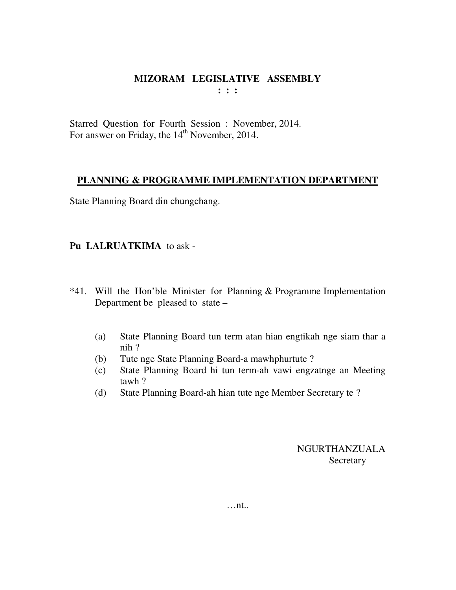Starred Question for Fourth Session : November, 2014. For answer on Friday, the 14<sup>th</sup> November, 2014.

## **PLANNING & PROGRAMME IMPLEMENTATION DEPARTMENT**

State Planning Board din chungchang.

## **Pu LALRUATKIMA** to ask -

- \*41. Will the Hon'ble Minister for Planning & Programme Implementation Department be pleased to state –
	- (a) State Planning Board tun term atan hian engtikah nge siam thar a nih ?
	- (b) Tute nge State Planning Board-a mawhphurtute ?
	- (c) State Planning Board hi tun term-ah vawi engzatnge an Meeting tawh ?
	- (d) State Planning Board-ah hian tute nge Member Secretary te ?

NGURTHANZUALA **Secretary**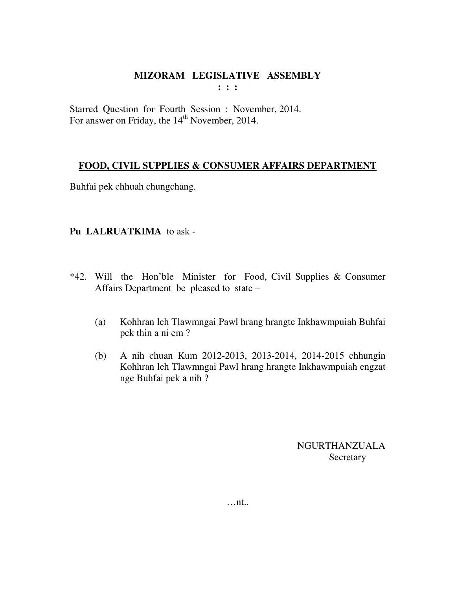**: : :** 

Starred Question for Fourth Session : November, 2014. For answer on Friday, the 14<sup>th</sup> November, 2014.

## **FOOD, CIVIL SUPPLIES & CONSUMER AFFAIRS DEPARTMENT**

Buhfai pek chhuah chungchang.

## **Pu LALRUATKIMA** to ask -

- \*42. Will the Hon'ble Minister for Food, Civil Supplies & Consumer Affairs Department be pleased to state –
	- (a) Kohhran leh Tlawmngai Pawl hrang hrangte Inkhawmpuiah Buhfai pek thin a ni em ?
	- (b) A nih chuan Kum 2012-2013, 2013-2014, 2014-2015 chhungin Kohhran leh Tlawmngai Pawl hrang hrangte Inkhawmpuiah engzat nge Buhfai pek a nih ?

NGURTHANZUALA Secretary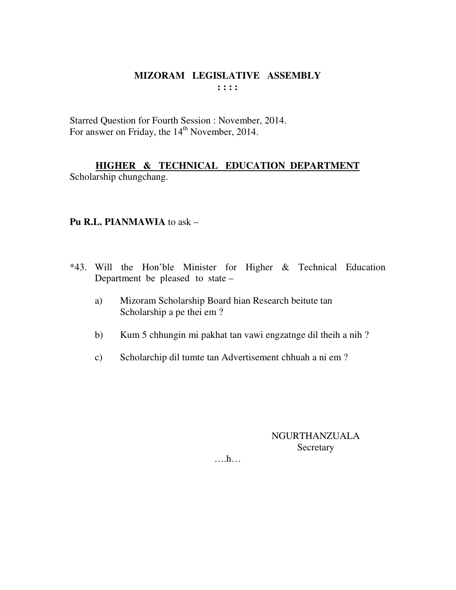Starred Question for Fourth Session : November, 2014. For answer on Friday, the 14<sup>th</sup> November, 2014.

HIGHER & TECHNICAL EDUCATION DEPARTMENT Scholarship chungchang.

## Pu R.L. PIANMAWIA to ask -

- \*43. Will the Hon'ble Minister for Higher & Technical Education Department be pleased to state –
	- Mizoram Scholarship Board hian Research beitute tan a) Scholarship a pe thei em?
	- $b)$ Kum 5 chhungin mi pakhat tan vawi engzatnge dil theih a nih?
	- Scholarchip dil tumte tan Advertisement chhuah a ni em?  $c)$

## **NGURTHANZUALA** Secretary

 $\dots$ ...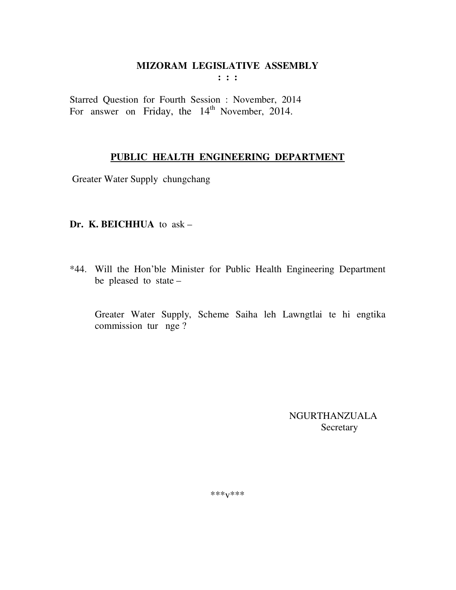Starred Question for Fourth Session : November, 2014 For answer on Friday, the 14<sup>th</sup> November, 2014.

## PUBLIC HEALTH ENGINEERING DEPARTMENT

Greater Water Supply chungchang

## Dr. K. BEICHHUA to ask -

\*44. Will the Hon'ble Minister for Public Health Engineering Department be pleased to state -

Greater Water Supply, Scheme Saiha leh Lawngtlai te hi engtika commission tur nge?

> **NGURTHANZUALA** Secretary

\*\*\* $V$ \*\*\*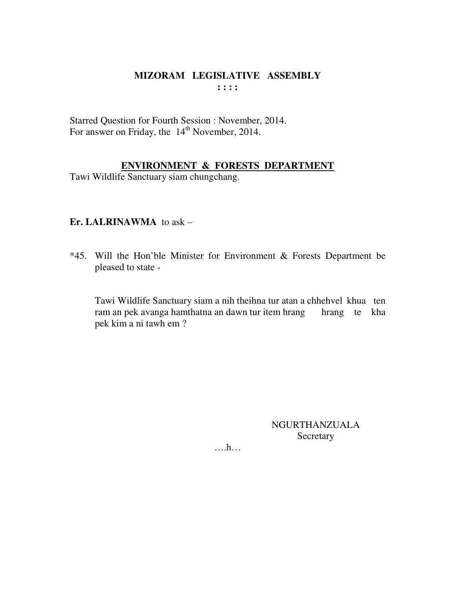#### **MIZORAM LEGISLATIVE ASSEMBLY : : : :**

Starred Question for Fourth Session : November, 2014. For answer on Friday, the 14<sup>th</sup> November, 2014.

## **ENVIRONMENT & FORESTS DEPARTMENT**

Tawi Wildlife Sanctuary siam chungchang.

## **Er. LALRINAWMA** to ask –

\*45. Will the Hon'ble Minister for Environment & Forests Department be pleased to state -

 Tawi Wildlife Sanctuary siam a nih theihna tur atan a chhehvel khua ten ram an pek avanga hamthatna an dawn tur item hrang hrang te kha pek kim a ni tawh em ?

> NGURTHANZUALA Secretary

….h…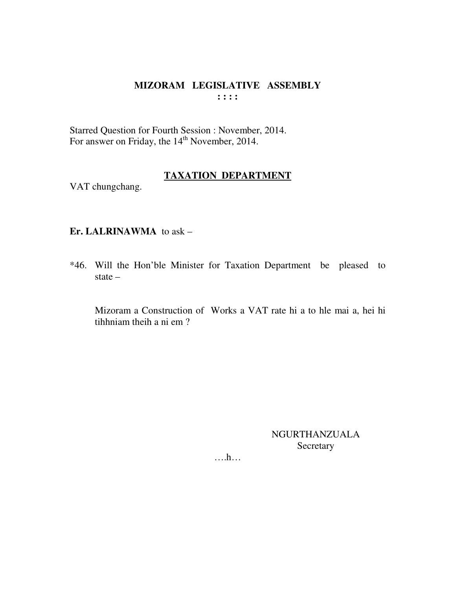## MIZORAM LEGISLATIVE ASSEMBLY  $: : : :$

Starred Question for Fourth Session : November, 2014.<br>For answer on Friday, the 14<sup>th</sup> November, 2014.

#### **TAXATION DEPARTMENT**

VAT chungchang.

## Er. LALRINAWMA to ask -

\*46. Will the Hon'ble Minister for Taxation Department be pleased to state  $-$ 

Mizoram a Construction of Works a VAT rate hi a to hle mai a, hei hi tihhniam theih a ni em?

> **NGURTHANZUALA** Secretary

 $\dots h\dots$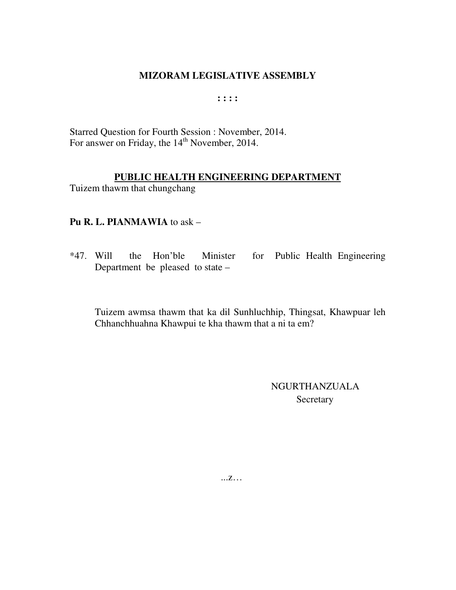**: : : :** 

Starred Question for Fourth Session : November, 2014. For answer on Friday, the 14<sup>th</sup> November, 2014.

## **PUBLIC HEALTH ENGINEERING DEPARTMENT**

Tuizem thawm that chungchang

## **Pu R. L. PIANMAWIA** to ask –

\*47. Will the Hon'ble Minister for Public Health Engineering Department be pleased to state –

 Tuizem awmsa thawm that ka dil Sunhluchhip, Thingsat, Khawpuar leh Chhanchhuahna Khawpui te kha thawm that a ni ta em?

> NGURTHANZUALA **Secretary**

...z…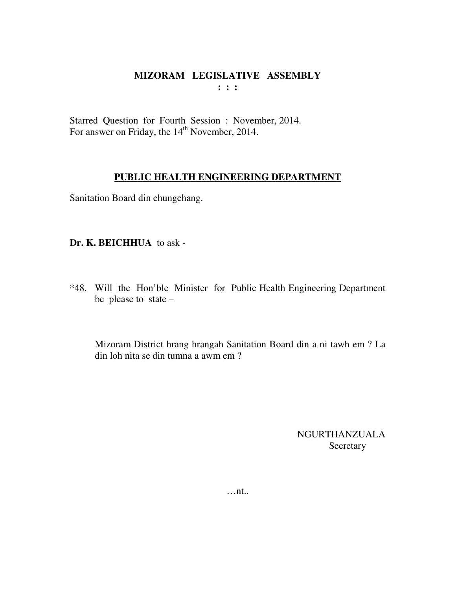Starred Question for Fourth Session : November, 2014. For answer on Friday, the 14<sup>th</sup> November, 2014.

#### **PUBLIC HEALTH ENGINEERING DEPARTMENT**

Sanitation Board din chungchang.

**Dr. K. BEICHHUA** to ask -

\*48. Will the Hon'ble Minister for Public Health Engineering Department be please to state –

 Mizoram District hrang hrangah Sanitation Board din a ni tawh em ? La din loh nita se din tumna a awm em ?

> NGURTHANZUALA Secretary

…nt..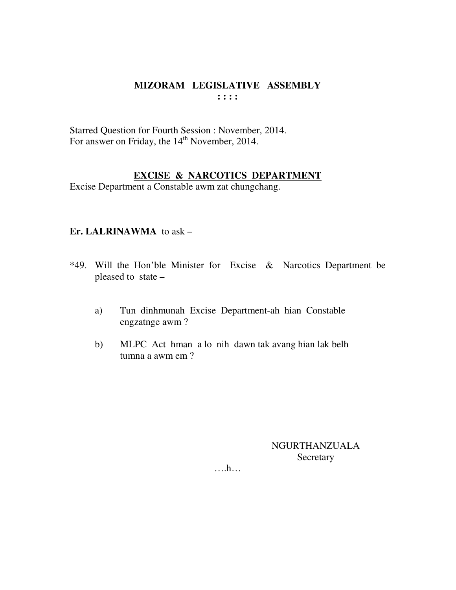## MIZORAM LEGISLATIVE ASSEMBLY  $: : : :$

Starred Question for Fourth Session : November, 2014. For answer on Friday, the 14<sup>th</sup> November, 2014.

## **EXCISE & NARCOTICS DEPARTMENT**

Excise Department a Constable awm zat chungchang.

## Er. LALRINAWMA to ask -

- \*49. Will the Hon'ble Minister for Excise & Narcotics Department be pleased to state –
	- Tun dinhmunah Excise Department-ah hian Constable a) engzatnge awm?
	- $b)$ MLPC Act hman a lo nih dawn tak avang hian lak belh tumna a awm em ?

**NGURTHANZUALA** Secretary

 $\dots h\dots$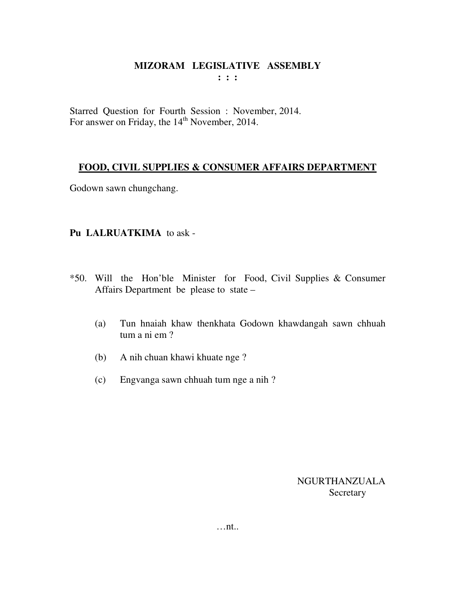**: : :** 

Starred Question for Fourth Session : November, 2014. For answer on Friday, the 14<sup>th</sup> November, 2014.

## **FOOD, CIVIL SUPPLIES & CONSUMER AFFAIRS DEPARTMENT**

Godown sawn chungchang.

## **Pu LALRUATKIMA** to ask -

- \*50. Will the Hon'ble Minister for Food, Civil Supplies & Consumer Affairs Department be please to state –
	- (a) Tun hnaiah khaw thenkhata Godown khawdangah sawn chhuah tum a ni em ?
	- (b) A nih chuan khawi khuate nge ?
	- (c) Engvanga sawn chhuah tum nge a nih ?

NGURTHANZUALA **Secretary** 

…nt..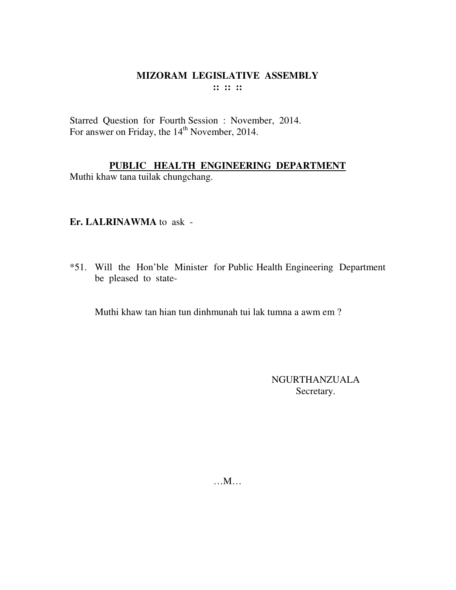#### **MIZORAM LEGISLATIVE ASSEMBLY :: :: ::**

Starred Question for Fourth Session : November, 2014. For answer on Friday, the 14<sup>th</sup> November, 2014.

## **PUBLIC HEALTH ENGINEERING DEPARTMENT**

Muthi khaw tana tuilak chungchang.

## **Er. LALRINAWMA** to ask -

\*51. Will the Hon'ble Minister for Public Health Engineering Department be pleased to state-

Muthi khaw tan hian tun dinhmunah tui lak tumna a awm em ?

NGURTHANZUALA Secretary.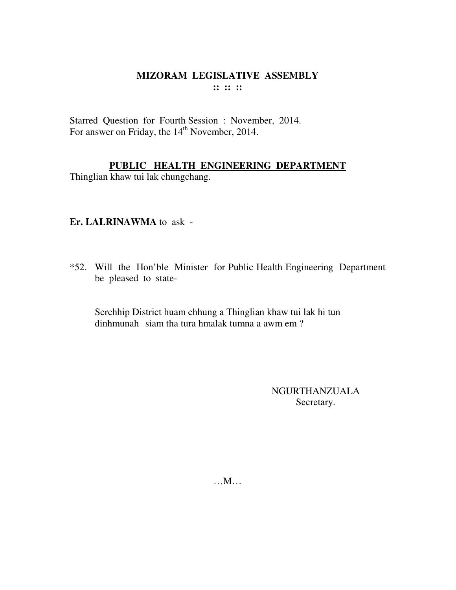#### **MIZORAM LEGISLATIVE ASSEMBLY :: :: ::**

Starred Question for Fourth Session : November, 2014. For answer on Friday, the 14<sup>th</sup> November, 2014.

## **PUBLIC HEALTH ENGINEERING DEPARTMENT**

Thinglian khaw tui lak chungchang.

## **Er. LALRINAWMA** to ask -

\*52. Will the Hon'ble Minister for Public Health Engineering Department be pleased to state-

 Serchhip District huam chhung a Thinglian khaw tui lak hi tun dinhmunah siam tha tura hmalak tumna a awm em ?

> NGURTHANZUALA Secretary.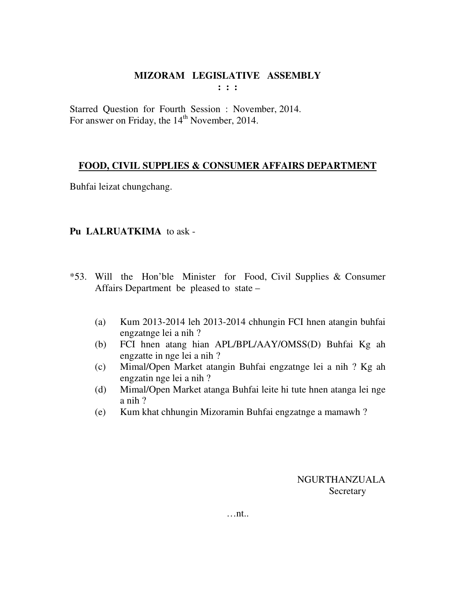**: : :** 

Starred Question for Fourth Session : November, 2014. For answer on Friday, the 14<sup>th</sup> November, 2014.

## **FOOD, CIVIL SUPPLIES & CONSUMER AFFAIRS DEPARTMENT**

Buhfai leizat chungchang.

## **Pu LALRUATKIMA** to ask -

- \*53. Will the Hon'ble Minister for Food, Civil Supplies & Consumer Affairs Department be pleased to state –
	- (a) Kum 2013-2014 leh 2013-2014 chhungin FCI hnen atangin buhfai engzatnge lei a nih ?
	- (b) FCI hnen atang hian APL/BPL/AAY/OMSS(D) Buhfai Kg ah engzatte in nge lei a nih ?
	- (c) Mimal/Open Market atangin Buhfai engzatnge lei a nih ? Kg ah engzatin nge lei a nih ?
	- (d) Mimal/Open Market atanga Buhfai leite hi tute hnen atanga lei nge a nih ?
	- (e) Kum khat chhungin Mizoramin Buhfai engzatnge a mamawh ?

NGURTHANZUALA Secretary

…nt..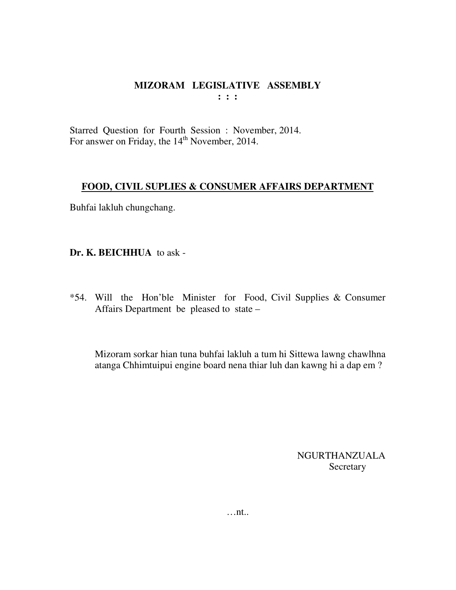Starred Question for Fourth Session : November, 2014. For answer on Friday, the 14<sup>th</sup> November, 2014.

## **FOOD, CIVIL SUPLIES & CONSUMER AFFAIRS DEPARTMENT**

Buhfai lakluh chungchang.

**Dr. K. BEICHHUA** to ask -

\*54. Will the Hon'ble Minister for Food, Civil Supplies & Consumer Affairs Department be pleased to state –

 Mizoram sorkar hian tuna buhfai lakluh a tum hi Sittewa lawng chawlhna atanga Chhimtuipui engine board nena thiar luh dan kawng hi a dap em ?

> NGURTHANZUALA Secretary